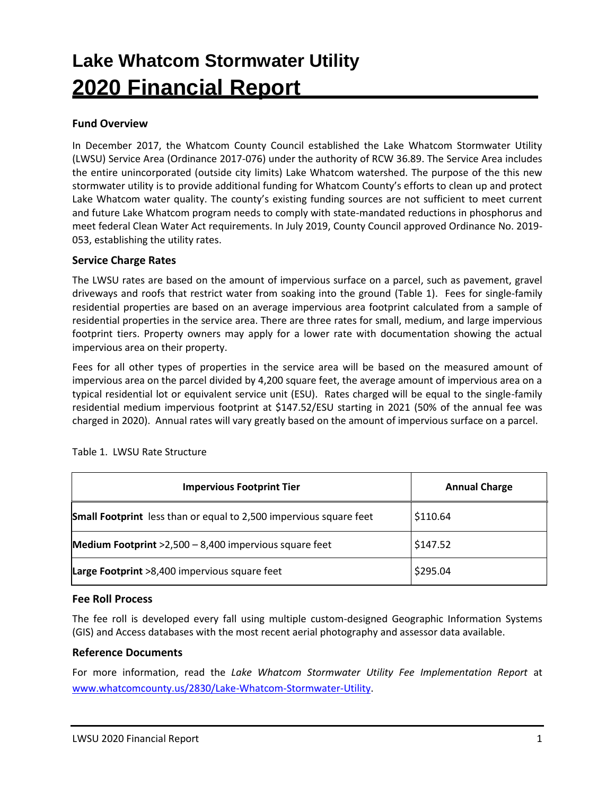# **Lake Whatcom Stormwater Utility 2020 Financial Report**

# **Fund Overview**

In December 2017, the Whatcom County Council established the Lake Whatcom Stormwater Utility (LWSU) Service Area (Ordinance 2017-076) under the authority of RCW 36.89. The Service Area includes the entire unincorporated (outside city limits) Lake Whatcom watershed. The purpose of the this new stormwater utility is to provide additional funding for Whatcom County's efforts to clean up and protect Lake Whatcom water quality. The county's existing funding sources are not sufficient to meet current and future Lake Whatcom program needs to comply with state-mandated reductions in phosphorus and meet federal Clean Water Act requirements. In July 2019, County Council approved Ordinance No. 2019- 053, establishing the utility rates.

#### **Service Charge Rates**

The LWSU rates are based on the amount of impervious surface on a parcel, such as pavement, gravel driveways and roofs that restrict water from soaking into the ground (Table 1). Fees for single-family residential properties are based on an average impervious area footprint calculated from a sample of residential properties in the service area. There are three rates for small, medium, and large impervious footprint tiers. Property owners may apply for a lower rate with documentation showing the actual impervious area on their property.

Fees for all other types of properties in the service area will be based on the measured amount of impervious area on the parcel divided by 4,200 square feet, the average amount of impervious area on a typical residential lot or equivalent service unit (ESU). Rates charged will be equal to the single-family residential medium impervious footprint at \$147.52/ESU starting in 2021 (50% of the annual fee was charged in 2020). Annual rates will vary greatly based on the amount of impervious surface on a parcel.

| <b>Impervious Footprint Tier</b>                                          | <b>Annual Charge</b> |
|---------------------------------------------------------------------------|----------------------|
| <b>Small Footprint</b> less than or equal to 2,500 impervious square feet | \$110.64             |
| Medium Footprint >2,500 - 8,400 impervious square feet                    | \$147.52             |
| Large Footprint >8,400 impervious square feet                             | \$295.04             |

Table 1. LWSU Rate Structure

## **Fee Roll Process**

The fee roll is developed every fall using multiple custom-designed Geographic Information Systems (GIS) and Access databases with the most recent aerial photography and assessor data available.

#### **Reference Documents**

For more information, read the *Lake Whatcom Stormwater Utility Fee Implementation Report* at [www.whatcomcounty.us/2830/Lake-Whatcom-Stormwater-Utility.](http://www.whatcomcounty.us/2830/Lake-Whatcom-Stormwater-Utility)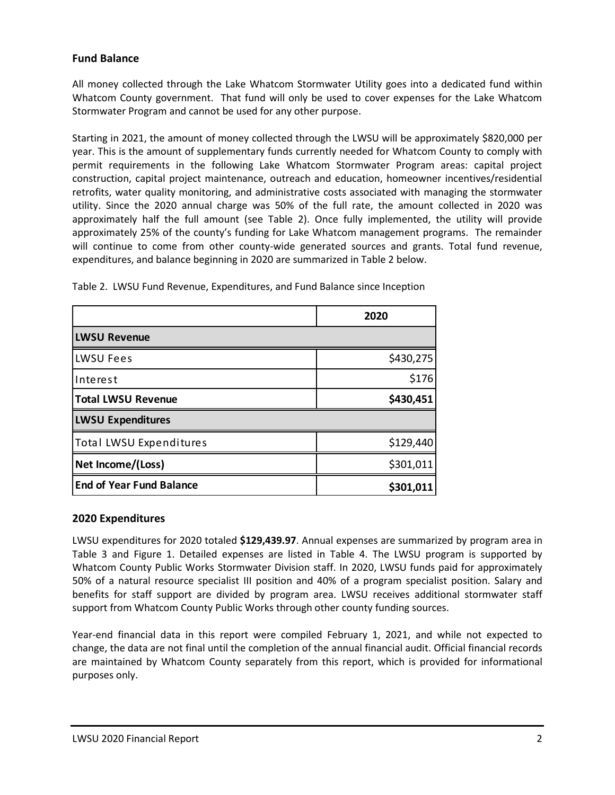# **Fund Balance**

All money collected through the Lake Whatcom Stormwater Utility goes into a dedicated fund within Whatcom County government. That fund will only be used to cover expenses for the Lake Whatcom Stormwater Program and cannot be used for any other purpose.

Starting in 2021, the amount of money collected through the LWSU will be approximately \$820,000 per year. This is the amount of supplementary funds currently needed for Whatcom County to comply with permit requirements in the following Lake Whatcom Stormwater Program areas: capital project construction, capital project maintenance, outreach and education, homeowner incentives/residential retrofits, water quality monitoring, and administrative costs associated with managing the stormwater utility. Since the 2020 annual charge was 50% of the full rate, the amount collected in 2020 was approximately half the full amount (see Table 2). Once fully implemented, the utility will provide approximately 25% of the county's funding for Lake Whatcom management programs. The remainder will continue to come from other county-wide generated sources and grants. Total fund revenue, expenditures, and balance beginning in 2020 are summarized in Table 2 below.

|                                 | 2020      |  |  |  |
|---------------------------------|-----------|--|--|--|
| <b>LWSU Revenue</b>             |           |  |  |  |
| LWSU Fees                       | \$430,275 |  |  |  |
| Interest                        | \$176     |  |  |  |
| <b>Total LWSU Revenue</b>       | \$430,451 |  |  |  |
| <b>LWSU Expenditures</b>        |           |  |  |  |
| <b>Total LWSU Expenditures</b>  | \$129,440 |  |  |  |
| Net Income/(Loss)               | \$301,011 |  |  |  |
| <b>End of Year Fund Balance</b> | \$301,011 |  |  |  |

Table 2. LWSU Fund Revenue, Expenditures, and Fund Balance since Inception

## **2020 Expenditures**

LWSU expenditures for 2020 totaled **\$129,439.97**. Annual expenses are summarized by program area in Table 3 and Figure 1. Detailed expenses are listed in Table 4. The LWSU program is supported by Whatcom County Public Works Stormwater Division staff. In 2020, LWSU funds paid for approximately 50% of a natural resource specialist III position and 40% of a program specialist position. Salary and benefits for staff support are divided by program area. LWSU receives additional stormwater staff support from Whatcom County Public Works through other county funding sources.

Year-end financial data in this report were compiled February 1, 2021, and while not expected to change, the data are not final until the completion of the annual financial audit. Official financial records are maintained by Whatcom County separately from this report, which is provided for informational purposes only.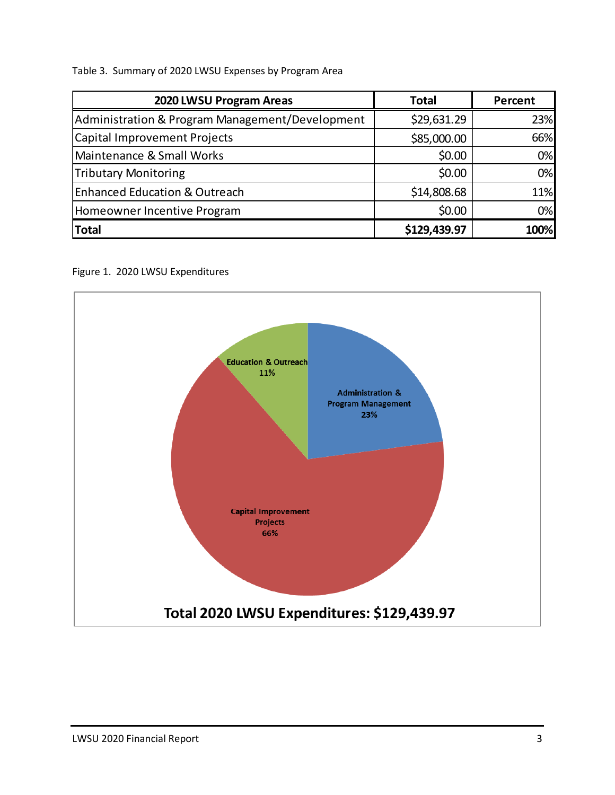Table 3. Summary of 2020 LWSU Expenses by Program Area

| 2020 LWSU Program Areas                         | <b>Total</b> | Percent |
|-------------------------------------------------|--------------|---------|
| Administration & Program Management/Development | \$29,631.29  | 23%     |
| Capital Improvement Projects                    | \$85,000.00  | 66%     |
| Maintenance & Small Works                       | \$0.00       | 0%      |
| <b>Tributary Monitoring</b>                     | \$0.00       | 0%      |
| <b>Enhanced Education &amp; Outreach</b>        | \$14,808.68  | 11%     |
| Homeowner Incentive Program                     | \$0.00       | 0%      |
| <b>Total</b>                                    | \$129,439.97 | 100%    |

Figure 1. 2020 LWSU Expenditures